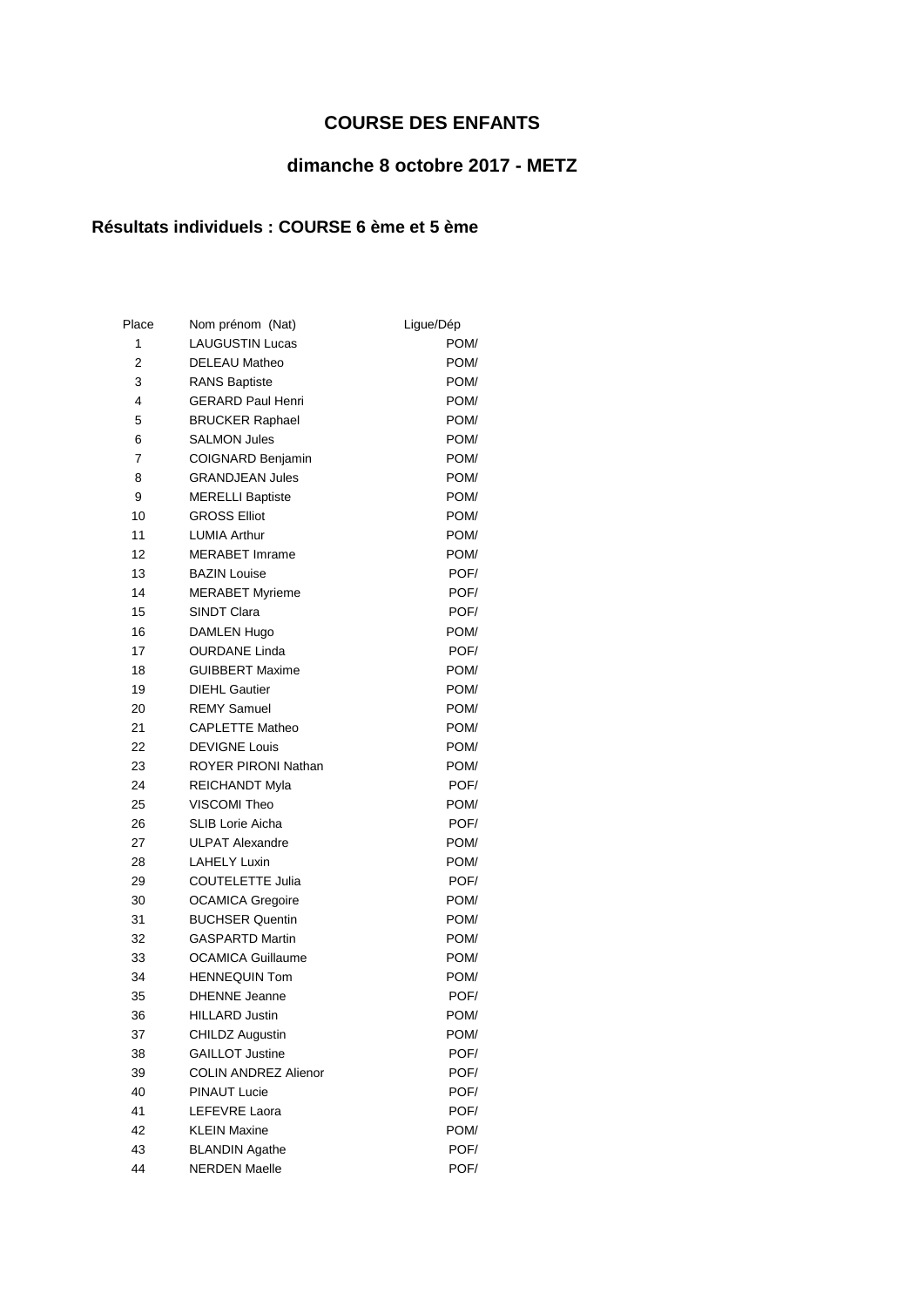## **COURSE DES ENFANTS**

## **dimanche 8 octobre 2017 - METZ**

## **Résultats individuels : COURSE 6 ème et 5 ème**

| Place | Nom prénom (Nat)            | Ligue/Dép |
|-------|-----------------------------|-----------|
| 1     | <b>LAUGUSTIN Lucas</b>      | POM/      |
| 2     | <b>DELEAU Matheo</b>        | POM/      |
| 3     | <b>RANS Baptiste</b>        | POM/      |
| 4     | <b>GERARD Paul Henri</b>    | POM/      |
| 5     | <b>BRUCKER Raphael</b>      | POM/      |
| 6     | <b>SALMON Jules</b>         | POM/      |
| 7     | COIGNARD Benjamin           | POM/      |
| 8     | <b>GRANDJEAN Jules</b>      | POM/      |
| 9     | <b>MERELLI Baptiste</b>     | POM/      |
| 10    | <b>GROSS Elliot</b>         | POM/      |
| 11    | <b>LUMIA Arthur</b>         | POM/      |
| 12    | <b>MERABET Imrame</b>       | POM/      |
| 13    | <b>BAZIN Louise</b>         | POF/      |
| 14    | <b>MERABET Myrieme</b>      | POF/      |
| 15    | SINDT Clara                 | POF/      |
| 16    | <b>DAMLEN Hugo</b>          | POM/      |
| 17    | <b>OURDANE Linda</b>        | POF/      |
| 18    | <b>GUIBBERT Maxime</b>      | POM/      |
| 19    | <b>DIEHL Gautier</b>        | POM/      |
| 20    | <b>REMY Samuel</b>          | POM/      |
| 21    | <b>CAPLETTE Matheo</b>      | POM/      |
| 22    | <b>DEVIGNE Louis</b>        | POM/      |
| 23    | ROYER PIRONI Nathan         | POM/      |
| 24    | <b>REICHANDT Myla</b>       | POF/      |
| 25    | VISCOMI Theo                | POM/      |
| 26    | <b>SLIB Lorie Aicha</b>     | POF/      |
| 27    | <b>ULPAT Alexandre</b>      | POM/      |
| 28    | <b>LAHELY Luxin</b>         | POM/      |
| 29    | <b>COUTELETTE Julia</b>     | POF/      |
| 30    | <b>OCAMICA Gregoire</b>     | POM/      |
| 31    | <b>BUCHSER Quentin</b>      | POM/      |
| 32    | <b>GASPARTD Martin</b>      | POM/      |
| 33    | <b>OCAMICA Guillaume</b>    | POM/      |
| 34    | <b>HENNEQUIN Tom</b>        | POM/      |
| 35    | <b>DHENNE</b> Jeanne        | POF/      |
| 36    | <b>HILLARD Justin</b>       | POM/      |
| 37    | <b>CHILDZ Augustin</b>      | POM/      |
| 38    | <b>GAILLOT Justine</b>      | POF/      |
| 39    | <b>COLIN ANDREZ Alienor</b> | POF/      |
| 40    | <b>PINAUT Lucie</b>         | POF/      |
| 41    | LEFEVRE Laora               | POF/      |
| 42    | <b>KLEIN Maxine</b>         | POM/      |
| 43    | <b>BLANDIN Agathe</b>       | POF/      |
| 44    | <b>NERDEN Maelle</b>        | POF/      |